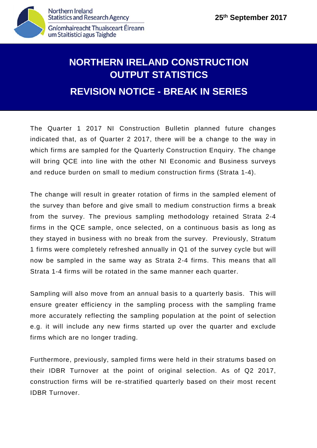

## **NORTHERN IRELAND CONSTRUCTION OUTPUT STATISTICS REVISION NOTICE - BREAK IN SERIES**

The Quarter 1 2017 NI Construction Bulletin planned future changes indicated that, as of Quarter 2 2017, there will be a change to the way in which firms are sampled for the Quarterly Construction Enquiry. The change will bring QCE into line with the other NI Economic and Business surveys and reduce burden on small to medium construction firms (Strata 1-4).

The change will result in greater rotation of firms in the sampled element of the survey than before and give small to medium construction firms a break from the survey. The previous sampling methodology retained Strata 2-4 firms in the QCE sample, once selected, on a continuous basis as long as they stayed in business with no break from the survey. Previously, Stratum 1 firms were completely refreshed annually in Q1 of the survey cycle but will now be sampled in the same way as Strata 2-4 firms. This means that all Strata 1-4 firms will be rotated in the same manner each quarter.

Sampling will also move from an annual basis to a quarterly basis. This will ensure greater efficiency in the sampling process with the sampling frame more accurately reflecting the sampling population at the point of selection e.g. it will include any new firms started up over the quarter and exclude firms which are no longer trading.

Furthermore, previously, sampled firms were held in their stratums based on their IDBR Turnover at the point of original selection. As of Q2 2017, construction firms will be re-stratified quarterly based on their most recent IDBR Turnover.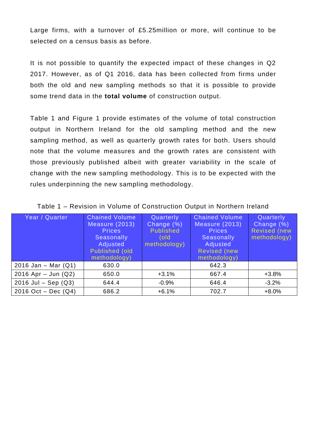Large firms, with a turnover of £5.25million or more, will continue to be selected on a census basis as before.

It is not possible to quantify the expected impact of these changes in Q2 2017. However, as of Q1 2016, data has been collected from firms under both the old and new sampling methods so that it is possible to provide some trend data in the **total volume** of construction output.

Table 1 and Figure 1 provide estimates of the volume of total construction output in Northern Ireland for the old sampling method and the new sampling method, as well as quarterly growth rates for both. Users should note that the volume measures and the growth rates are consistent with those previously published albeit with greater variability in the scale of change with the new sampling methodology. This is to be expected with the rules underpinning the new sampling methodology.

| Year / Quarter          | <b>Chained Volume</b><br>Measure (2013)<br><b>Prices</b><br>Seasonally<br>Adjusted<br>Published (old<br>methodology) | Quarterly<br>Change (%)<br><b>Published</b><br>(old<br>methodology) | <b>Chained Volume</b><br>Measure (2013)<br><b>Prices</b><br>Seasonally<br>Adjusted<br><b>Revised</b> (new<br>methodology) | Quarterly<br>Change (%)<br><b>Revised</b> (new<br>methodology) |
|-------------------------|----------------------------------------------------------------------------------------------------------------------|---------------------------------------------------------------------|---------------------------------------------------------------------------------------------------------------------------|----------------------------------------------------------------|
| 2016 Jan – Mar $(Q1)$   | 630.0                                                                                                                |                                                                     | 642.3                                                                                                                     |                                                                |
| 2016 Apr $-$ Jun (Q2)   | 650.0                                                                                                                | $+3.1%$                                                             | 667.4                                                                                                                     | $+3.8%$                                                        |
| $2016$ Jul – Sep $(Q3)$ | 644.4                                                                                                                | $-0.9%$                                                             | 646.4                                                                                                                     | $-3.2%$                                                        |
| 2016 Oct - Dec $(Q4)$   | 686.2                                                                                                                | $+6.1%$                                                             | 702.7                                                                                                                     | $+8.0%$                                                        |

| Table 1 – Revision in Volume of Construction Output in Northern Ireland |  |  |  |  |  |
|-------------------------------------------------------------------------|--|--|--|--|--|
|-------------------------------------------------------------------------|--|--|--|--|--|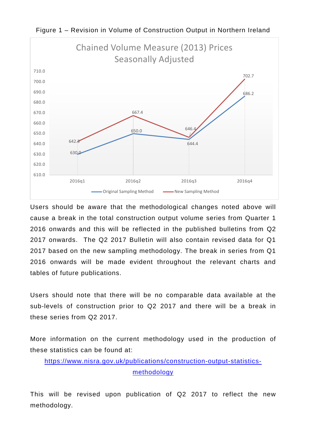

Figure 1 – Revision in Volume of Construction Output in Northern Ireland

Users should be aware that the methodological changes noted above will cause a break in the total construction output volume series from Quarter 1 2016 onwards and this will be reflected in the published bulletins from Q2 2017 onwards. The Q2 2017 Bulletin will also contain revised data for Q1 2017 based on the new sampling methodology. The break in series from Q1 2016 onwards will be made evident throughout the relevant charts and tables of future publications.

Users should note that there will be no comparable data available at the sub-levels of construction prior to Q2 2017 and there will be a break in these series from Q2 2017.

More information on the current methodology used in the production of these statistics can be found at:

[https://www.nisra.gov.uk/publications/construction-output-statistics](https://www.nisra.gov.uk/publications/construction-output-statistics-methodology)[methodology](https://www.nisra.gov.uk/publications/construction-output-statistics-methodology)

This will be revised upon publication of Q2 2017 to reflect the new methodology.